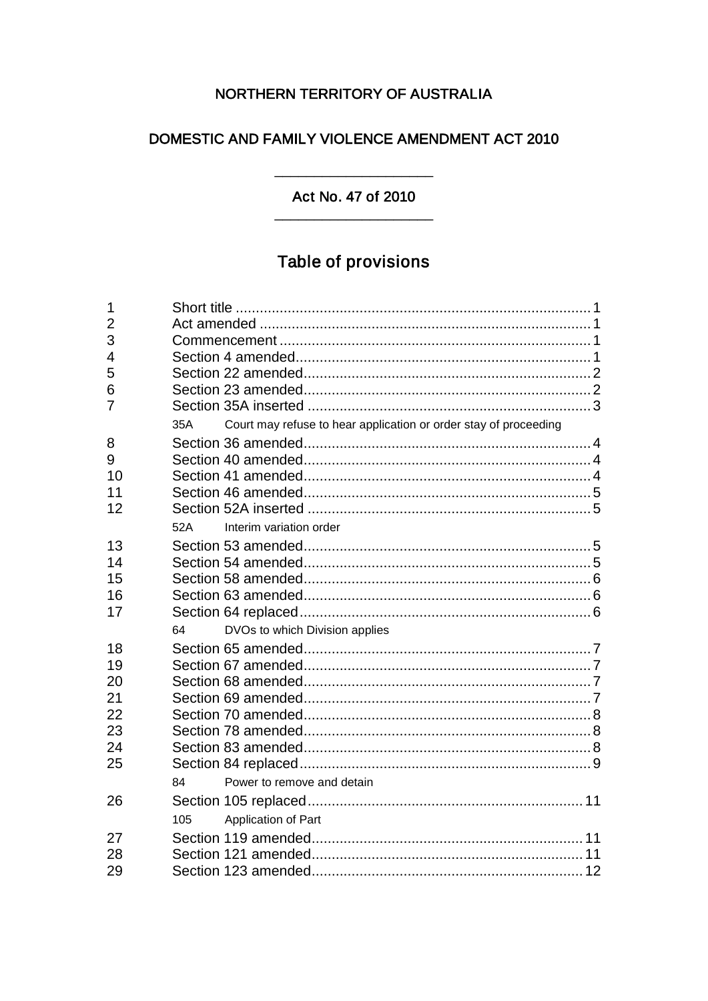# NORTHERN TERRITORY OF AUSTRALIA

# DOMESTIC AND FAMILY VIOLENCE AMENDMENT ACT 2010

## Act No. 47 of 2010

 $\overline{\phantom{a}}$ 

# Table of provisions

| 1              |     |                                                                  |  |
|----------------|-----|------------------------------------------------------------------|--|
| $\overline{2}$ |     |                                                                  |  |
| 3              |     |                                                                  |  |
| 4              |     |                                                                  |  |
| 5              |     |                                                                  |  |
| 6              |     |                                                                  |  |
| $\overline{7}$ |     |                                                                  |  |
|                | 35A | Court may refuse to hear application or order stay of proceeding |  |
| 8              |     |                                                                  |  |
| 9              |     |                                                                  |  |
| 10             |     |                                                                  |  |
| 11             |     |                                                                  |  |
| 12             |     |                                                                  |  |
|                | 52A | Interim variation order                                          |  |
| 13             |     |                                                                  |  |
| 14             |     |                                                                  |  |
| 15             |     |                                                                  |  |
| 16             |     |                                                                  |  |
| 17             |     |                                                                  |  |
|                | 64  | DVOs to which Division applies                                   |  |
| 18             |     |                                                                  |  |
| 19             |     |                                                                  |  |
| 20             |     |                                                                  |  |
| 21             |     |                                                                  |  |
| 22             |     |                                                                  |  |
| 23             |     |                                                                  |  |
| 24             |     |                                                                  |  |
| 25             |     |                                                                  |  |
|                | 84  | Power to remove and detain                                       |  |
| 26             |     |                                                                  |  |
|                | 105 | Application of Part                                              |  |
| 27             |     |                                                                  |  |
| 28             |     |                                                                  |  |
| 29             |     |                                                                  |  |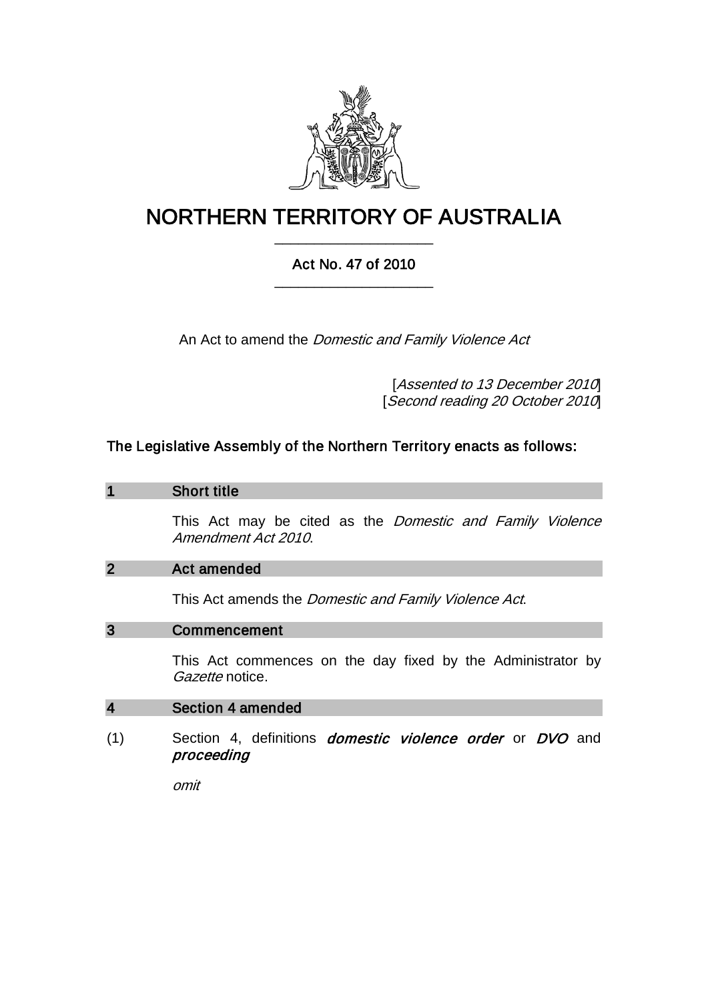

# NORTHERN TERRITORY OF AUSTRALIA \_\_\_\_\_\_\_\_\_\_\_\_\_\_\_\_\_\_\_\_

## Act No. 47 of 2010 \_\_\_\_\_\_\_\_\_\_\_\_\_\_\_\_\_\_\_\_

An Act to amend the *Domestic and Family Violence Act* 

[Assented to 13 December 2010] [Second reading 20 October 2010]

## The Legislative Assembly of the Northern Territory enacts as follows:

#### 1 Short title

This Act may be cited as the *Domestic and Family Violence* Amendment Act 2010.

#### 2 Act amended

This Act amends the *Domestic and Family Violence Act*.

#### 3 Commencement

This Act commences on the day fixed by the Administrator by Gazette notice.

#### 4 Section 4 amended

(1) Section 4, definitions *domestic violence order* or *DVO* and proceeding

omit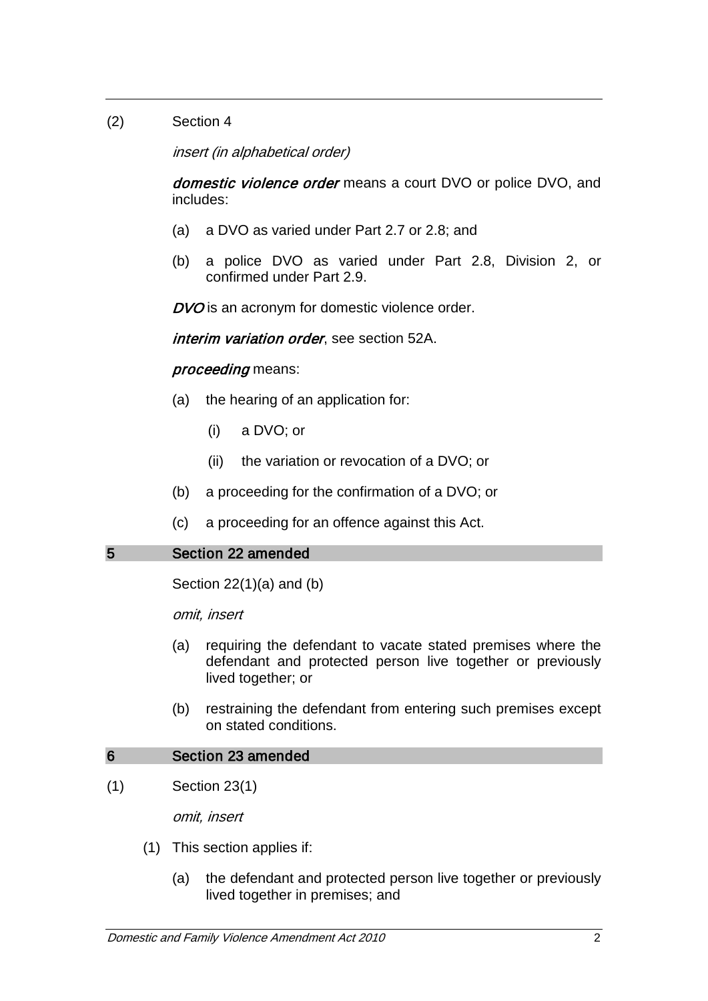## (2) Section 4

insert (in alphabetical order)

domestic violence order means a court DVO or police DVO, and includes:

- (a) a DVO as varied under Part 2.7 or 2.8; and
- (b) a police DVO as varied under Part 2.8, Division 2, or confirmed under Part 2.9.

DVO is an acronym for domestic violence order.

interim variation order, see section 52A.

#### proceeding means:

- (a) the hearing of an application for:
	- (i) a DVO; or
	- (ii) the variation or revocation of a DVO; or
- (b) a proceeding for the confirmation of a DVO; or
- (c) a proceeding for an offence against this Act.

## 5 Section 22 amended

Section  $22(1)(a)$  and  $(b)$ 

omit, insert

- (a) requiring the defendant to vacate stated premises where the defendant and protected person live together or previously lived together; or
- (b) restraining the defendant from entering such premises except on stated conditions.

#### 6 Section 23 amended

(1) Section 23(1)

omit, insert

- (1) This section applies if:
	- (a) the defendant and protected person live together or previously lived together in premises; and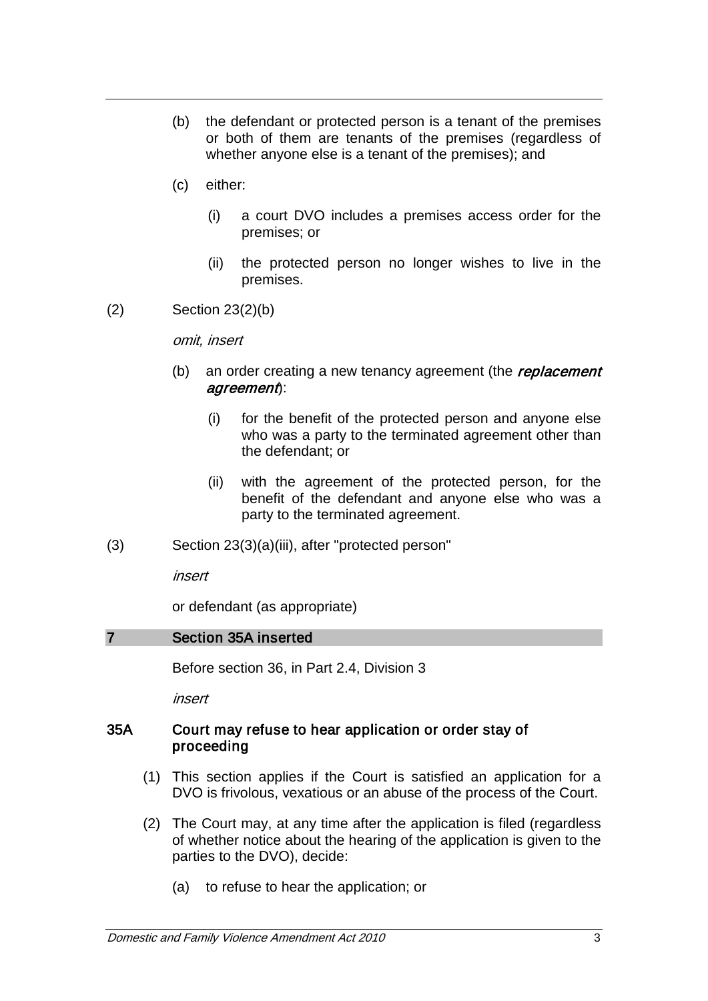- (b) the defendant or protected person is a tenant of the premises or both of them are tenants of the premises (regardless of whether anyone else is a tenant of the premises); and
- (c) either:
	- (i) a court DVO includes a premises access order for the premises; or
	- (ii) the protected person no longer wishes to live in the premises.
- (2) Section 23(2)(b)

#### omit, insert

- (b) an order creating a new tenancy agreement (the replacement agreement):
	- (i) for the benefit of the protected person and anyone else who was a party to the terminated agreement other than the defendant; or
	- (ii) with the agreement of the protected person, for the benefit of the defendant and anyone else who was a party to the terminated agreement.
- (3) Section 23(3)(a)(iii), after "protected person"

insert

or defendant (as appropriate)

#### 7 Section 35A inserted

Before section 36, in Part 2.4, Division 3

insert

#### 35A Court may refuse to hear application or order stay of proceeding

- (1) This section applies if the Court is satisfied an application for a DVO is frivolous, vexatious or an abuse of the process of the Court.
- (2) The Court may, at any time after the application is filed (regardless of whether notice about the hearing of the application is given to the parties to the DVO), decide:
	- (a) to refuse to hear the application; or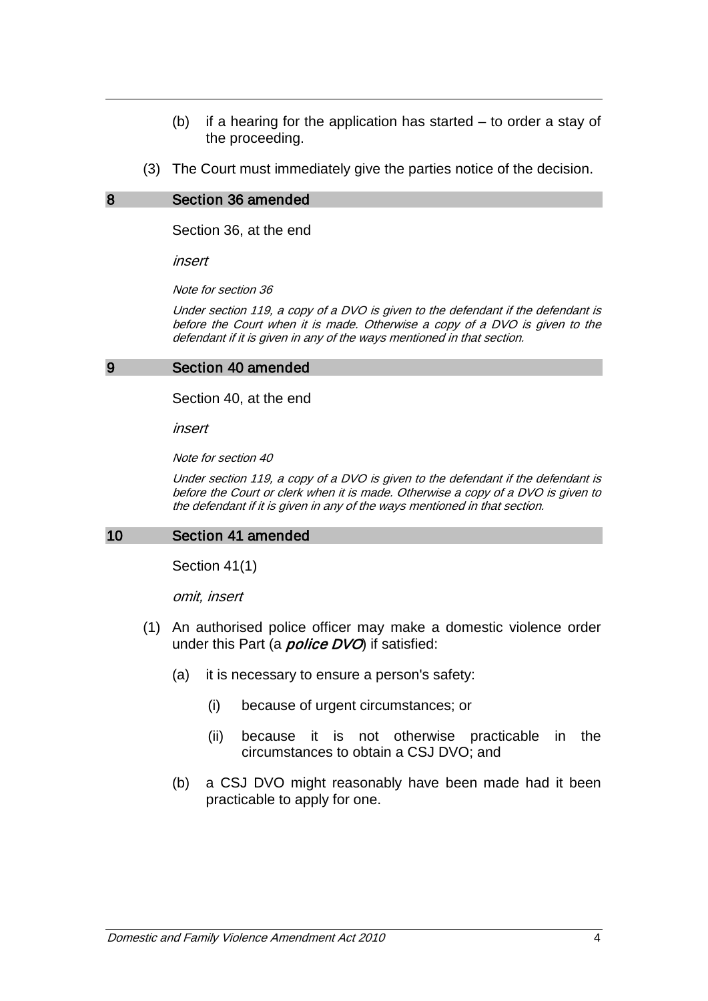- (b) if a hearing for the application has started to order a stay of the proceeding.
- (3) The Court must immediately give the parties notice of the decision.

#### 8 Section 36 amended

Section 36, at the end

insert

Note for section 36

Under section 119, a copy of a DVO is given to the defendant if the defendant is before the Court when it is made. Otherwise a copy of a DVO is given to the defendant if it is given in any of the ways mentioned in that section.

#### 9 Section 40 amended

Section 40, at the end

insert

Note for section 40

Under section 119, a copy of a DVO is given to the defendant if the defendant is before the Court or clerk when it is made. Otherwise a copy of a DVO is given to the defendant if it is given in any of the ways mentioned in that section.

#### 10 Section 41 amended

Section 41(1)

omit, insert

- (1) An authorised police officer may make a domestic violence order under this Part (a *police DVO*) if satisfied:
	- (a) it is necessary to ensure a person's safety:
		- (i) because of urgent circumstances; or
		- (ii) because it is not otherwise practicable in the circumstances to obtain a CSJ DVO; and
	- (b) a CSJ DVO might reasonably have been made had it been practicable to apply for one.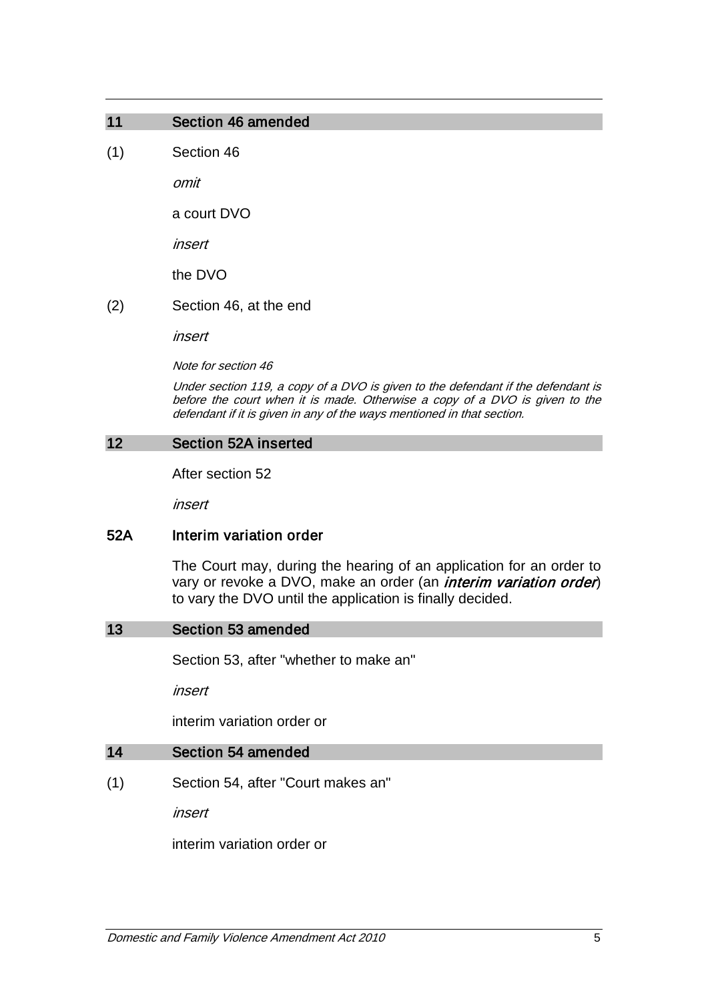## 11 Section 46 amended

(1) Section 46

omit

a court DVO

insert

the DVO

(2) Section 46, at the end

insert

Note for section 46

Under section 119, a copy of a DVO is given to the defendant if the defendant is before the court when it is made. Otherwise a copy of a DVO is given to the defendant if it is given in any of the ways mentioned in that section.

#### 12 Section 52A inserted

After section 52

insert

#### 52A Interim variation order

The Court may, during the hearing of an application for an order to vary or revoke a DVO, make an order (an *interim variation order*) to vary the DVO until the application is finally decided.

#### 13 Section 53 amended

Section 53, after "whether to make an"

insert

interim variation order or

#### 14 Section 54 amended

(1) Section 54, after "Court makes an"

insert

interim variation order or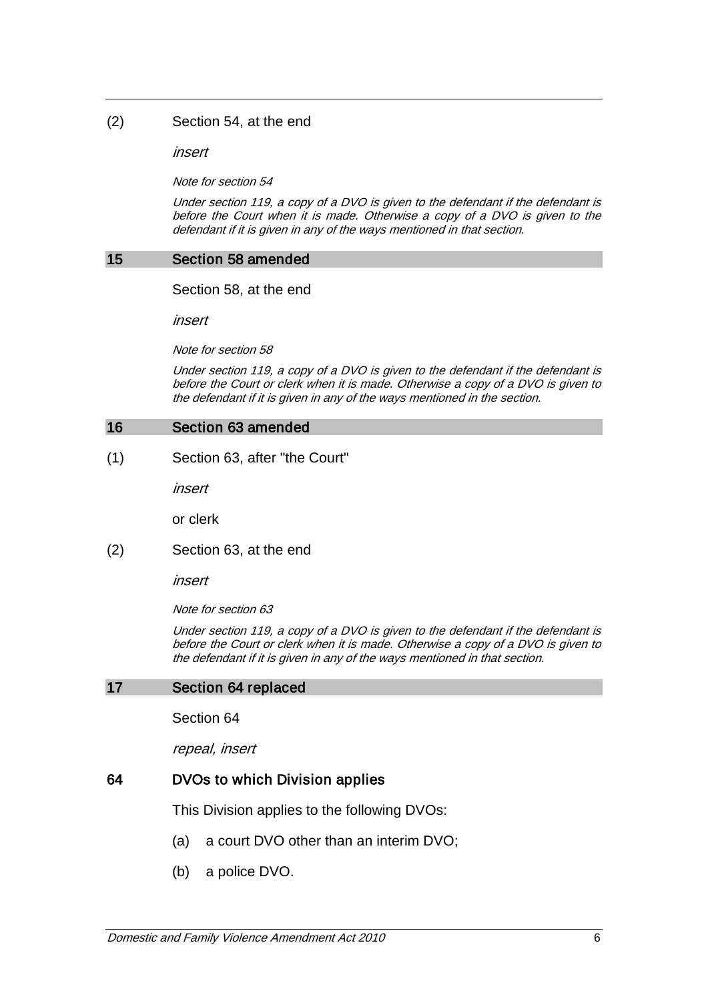#### (2) Section 54, at the end

insert

Note for section 54

Under section 119, a copy of a DVO is given to the defendant if the defendant is before the Court when it is made. Otherwise a copy of a DVO is given to the defendant if it is given in any of the ways mentioned in that section.

#### 15 Section 58 amended

Section 58, at the end

insert

Note for section 58

Under section 119, a copy of a DVO is given to the defendant if the defendant is before the Court or clerk when it is made. Otherwise a copy of a DVO is given to the defendant if it is given in any of the ways mentioned in the section.

#### 16 Section 63 amended

(1) Section 63, after "the Court"

insert

or clerk

(2) Section 63, at the end

insert

Note for section 63

Under section 119, a copy of a DVO is given to the defendant if the defendant is before the Court or clerk when it is made. Otherwise a copy of a DVO is given to the defendant if it is given in any of the ways mentioned in that section.

#### 17 Section 64 replaced

Section 64

repeal, insert

#### 64 DVOs to which Division applies

This Division applies to the following DVOs:

- (a) a court DVO other than an interim DVO;
- (b) a police DVO.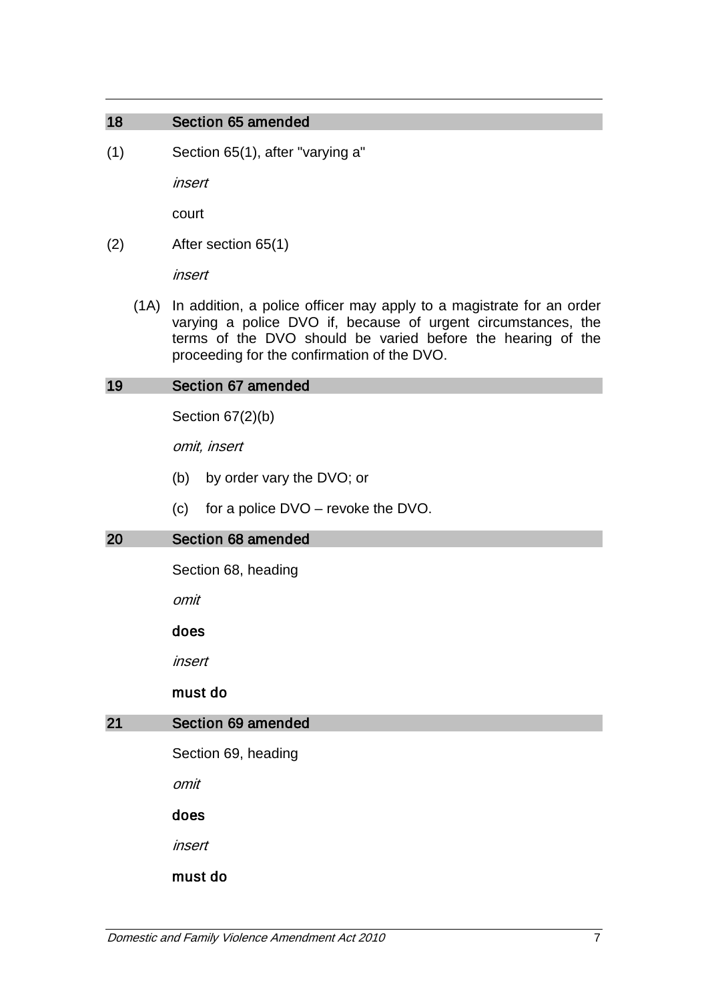## 18 Section 65 amended

(1) Section 65(1), after "varying a"

insert

court

(2) After section 65(1)

insert

(1A) In addition, a police officer may apply to a magistrate for an order varying a police DVO if, because of urgent circumstances, the terms of the DVO should be varied before the hearing of the proceeding for the confirmation of the DVO.

## 19 Section 67 amended

Section 67(2)(b)

omit, insert

- (b) by order vary the DVO; or
- (c) for a police DVO revoke the DVO.

#### 20 Section 68 amended

Section 68, heading

omit

#### does

insert

#### must do

### 21 Section 69 amended

Section 69, heading

omit

does

insert

must do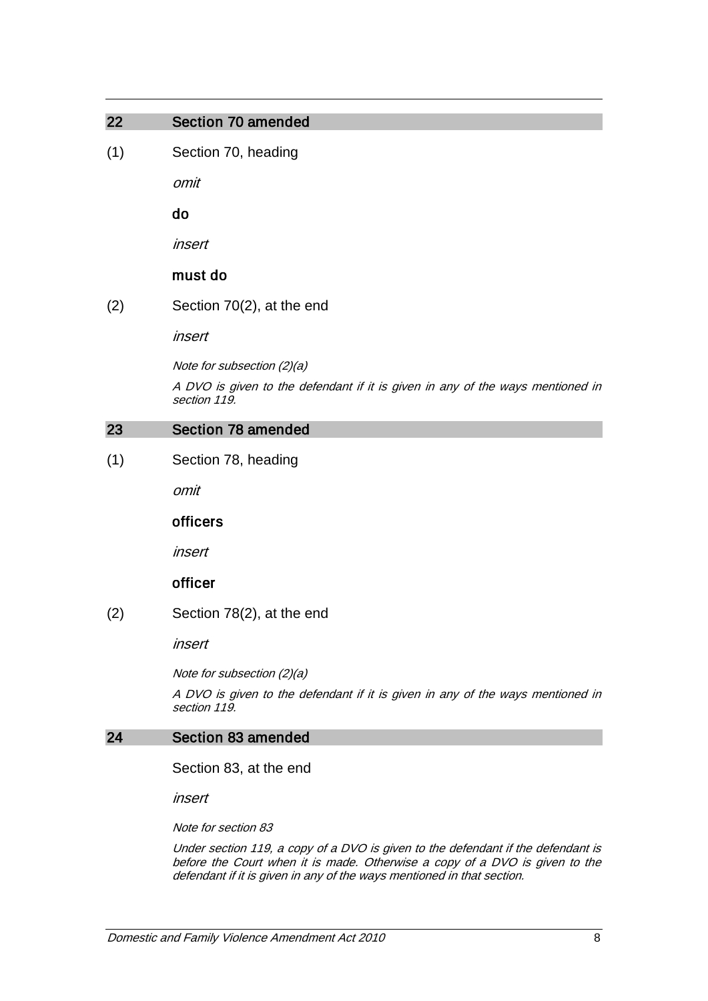#### 22 Section 70 amended

(1) Section 70, heading

omit

do

insert

#### must do

(2) Section 70(2), at the end

insert

Note for subsection (2)(a)

A DVO is given to the defendant if it is given in any of the ways mentioned in section 119.

#### 23 Section 78 amended

(1) Section 78, heading

omit

#### officers

insert

## officer

(2) Section 78(2), at the end

insert

Note for subsection (2)(a)

A DVO is given to the defendant if it is given in any of the ways mentioned in section 119.

#### 24 Section 83 amended

Section 83, at the end

insert

Note for section 83

Under section 119, a copy of a DVO is given to the defendant if the defendant is before the Court when it is made. Otherwise a copy of a DVO is given to the defendant if it is given in any of the ways mentioned in that section.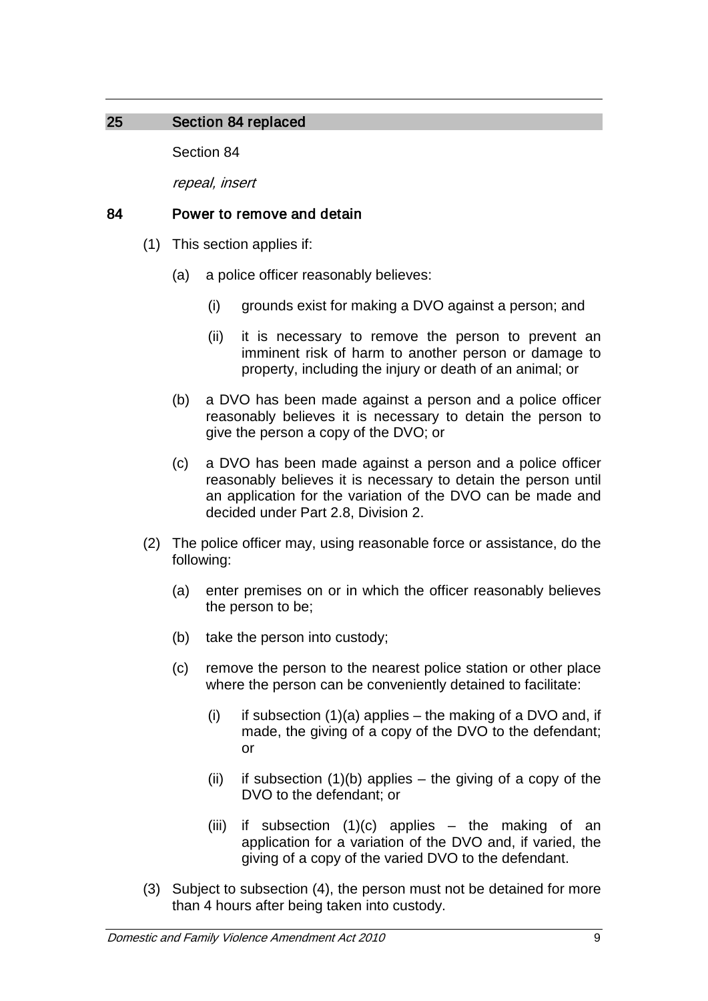## 25 Section 84 replaced

Section 84

repeal, insert

## 84 Power to remove and detain

- (1) This section applies if:
	- (a) a police officer reasonably believes:
		- (i) grounds exist for making a DVO against a person; and
		- (ii) it is necessary to remove the person to prevent an imminent risk of harm to another person or damage to property, including the injury or death of an animal; or
	- (b) a DVO has been made against a person and a police officer reasonably believes it is necessary to detain the person to give the person a copy of the DVO; or
	- (c) a DVO has been made against a person and a police officer reasonably believes it is necessary to detain the person until an application for the variation of the DVO can be made and decided under Part 2.8, Division 2.
- (2) The police officer may, using reasonable force or assistance, do the following:
	- (a) enter premises on or in which the officer reasonably believes the person to be;
	- (b) take the person into custody;
	- (c) remove the person to the nearest police station or other place where the person can be conveniently detained to facilitate:
		- (i) if subsection  $(1)(a)$  applies the making of a DVO and, if made, the giving of a copy of the DVO to the defendant; or
		- (ii) if subsection  $(1)(b)$  applies the giving of a copy of the DVO to the defendant; or
		- (iii) if subsection  $(1)(c)$  applies the making of an application for a variation of the DVO and, if varied, the giving of a copy of the varied DVO to the defendant.
- (3) Subject to subsection (4), the person must not be detained for more than 4 hours after being taken into custody.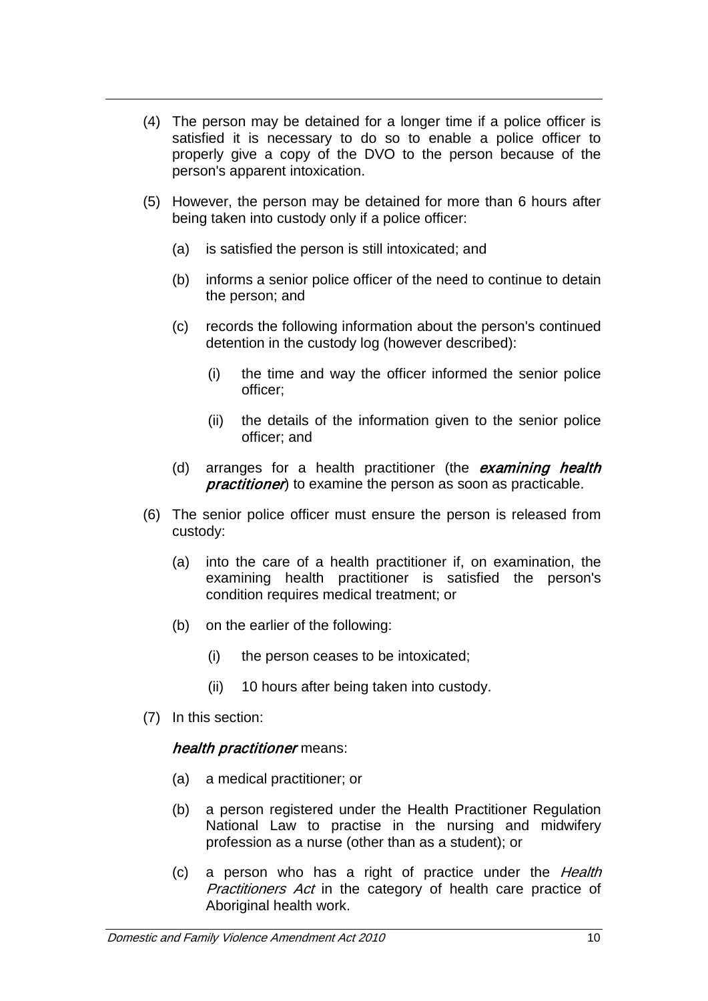- (4) The person may be detained for a longer time if a police officer is satisfied it is necessary to do so to enable a police officer to properly give a copy of the DVO to the person because of the person's apparent intoxication.
- (5) However, the person may be detained for more than 6 hours after being taken into custody only if a police officer:
	- (a) is satisfied the person is still intoxicated; and
	- (b) informs a senior police officer of the need to continue to detain the person; and
	- (c) records the following information about the person's continued detention in the custody log (however described):
		- (i) the time and way the officer informed the senior police officer;
		- (ii) the details of the information given to the senior police officer; and
	- (d) arranges for a health practitioner (the *examining health practitioner*) to examine the person as soon as practicable.
- (6) The senior police officer must ensure the person is released from custody:
	- (a) into the care of a health practitioner if, on examination, the examining health practitioner is satisfied the person's condition requires medical treatment; or
	- (b) on the earlier of the following:
		- (i) the person ceases to be intoxicated;
		- (ii) 10 hours after being taken into custody.
- (7) In this section:

## health practitioner means:

- (a) a medical practitioner; or
- (b) a person registered under the Health Practitioner Regulation National Law to practise in the nursing and midwifery profession as a nurse (other than as a student); or
- (c) a person who has a right of practice under the Health Practitioners Act in the category of health care practice of Aboriginal health work.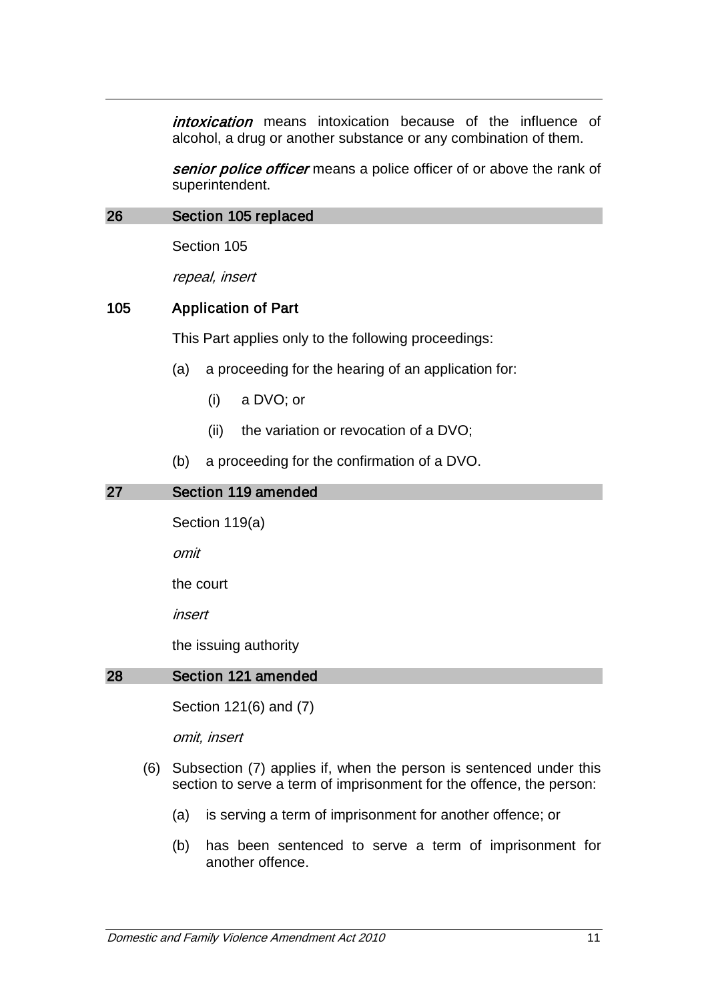intoxication means intoxication because of the influence of alcohol, a drug or another substance or any combination of them.

senior police officer means a police officer of or above the rank of superintendent.

### 26 Section 105 replaced

Section 105

repeal, insert

## 105 Application of Part

This Part applies only to the following proceedings:

- (a) a proceeding for the hearing of an application for:
	- (i) a DVO; or
	- (ii) the variation or revocation of a DVO;
- (b) a proceeding for the confirmation of a DVO.

| Section 119 amended    |  |  |
|------------------------|--|--|
| Section 119(a)         |  |  |
| omit                   |  |  |
| the court              |  |  |
| insert                 |  |  |
| the issuing authority  |  |  |
| Section 121 amended    |  |  |
| Section 121(6) and (7) |  |  |
|                        |  |  |

omit, insert

- (6) Subsection (7) applies if, when the person is sentenced under this section to serve a term of imprisonment for the offence, the person:
	- (a) is serving a term of imprisonment for another offence; or
	- (b) has been sentenced to serve a term of imprisonment for another offence.